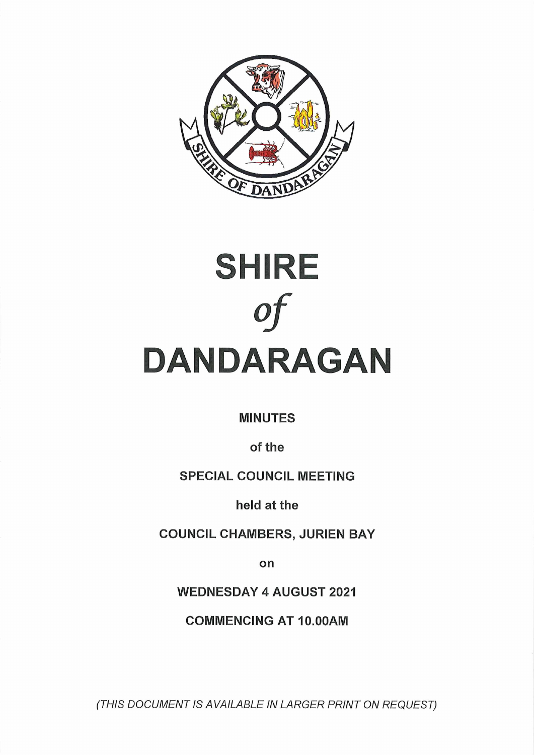



**MINUTES**

**of the**

**SPECIAL COUNCIL MEETING**

**held at the**

**COUNCIL CHAMBERS, JURIEN BAY**

**on**

**WEDNESDAY 4 AUGUST 2021**

**COMMENCING AT 10.00AM**

*(THIS DOCUMENT IS AVAILABLE IN LARGER PRINT ON REQUEST)*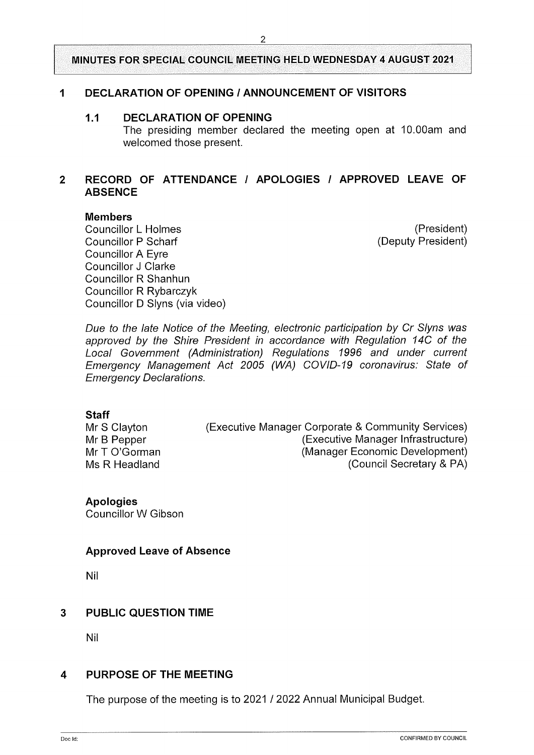#### **<sup>1</sup> DECLARATION OF OPENING / ANNOUNCEMENT OF VISITORS**

#### **1.1 DECLARATION OF OPENING**

The presiding member declared the meeting open at 10.00am and welcomed those present.

## **2 RECORD OF ATTENDANCE / APOLOGIES / APPROVED LEAVE OF ABSENCE**

#### **Members**

Councillor L Holmes Councillor P Scharf Councillor A Eyre Councillor J Clarke Councillor R Shanhun Councillor R Rybarczyk Councillor D Slyns (via video)

(President) (Deputy President)

*Due to the late Notice of the Meeting, electronic participation by Cr Slyns was approved by the Shire President in accordance with Regulation 14C of the Local Government (Administration) Regulations 1996 and under current Emergency Management Act 2005 (WA) COVID-19 coronavirus: State of Emergency Declarations.*

#### **Staff**

Mr S Clayton Mr B Pepper Mr T O'Gorman Ms R Headland

(Executive Manager Corporate & Community Services) (Executive Manager Infrastructure) (Manager Economic Development) (Council Secretary & PA)

**Apologies**

Councillor W Gibson

#### **Approved Leave of Absence**

Nil

## **3 PUBLIC QUESTION TIME**

Nil

#### **4 PURPOSE OF THE MEETING**

The purpose of the meeting is to 2021 / 2022 Annual Municipal Budget.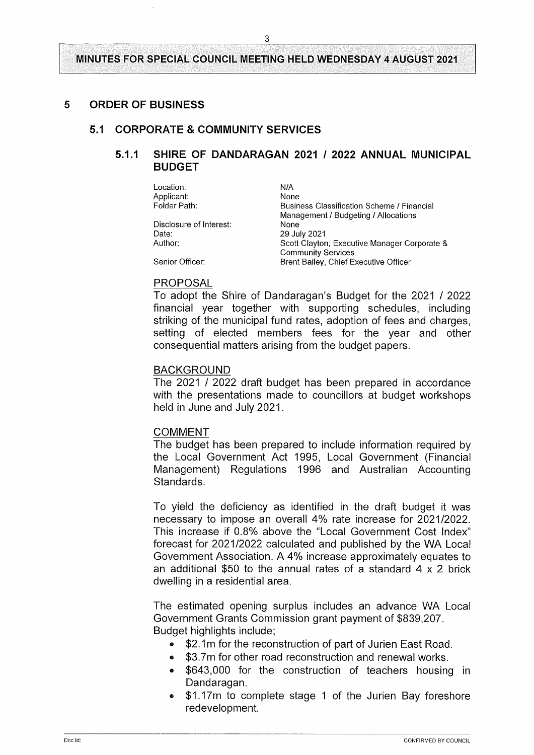#### **5 ORDER OF BUSINESS**

#### **5.1 CORPORATE & COMMUNITY SERVICES**

#### **5.1.1 SHIRE OF DANDARAGAN 2021 / 2022 ANNUAL MUNICIPAL BUDGET**

Location: Applicant: Folder Path:

Disclosure of Interest: Date: Author:

N/A None Business Classification Scheme / Financial Management / Budgeting / Allocations None **29 July 2021** Scott Clayton, Executive Manager Corporate & Community Services Brent Bailey, Chief Executive Officer

# Senior Officer:

#### PROPOSAL

To adopt the Shire of Dandaragan's Budget for the 2021 / 2022 financial year together with supporting schedules, including striking of the municipal fund rates, adoption of fees and charges, setting of elected members fees for the year and other consequential matters arising from the budget papers.

#### BACKGROUND

The 2021 / 2022 draft budget has been prepared in accordance with the presentations made to councillors at budget workshops held in June and July 2021.

#### COMMENT

The budget has been prepared to include information required by the Local Government Act 1995, Local Government (Financial Management) Regulations 1996 and Australian Accounting Standards.

To yield the deficiency as identified in the draft budget it was necessary to impose an overall 4% rate increase for 2021/2022. This increase if 0.8% above the "Local Government Cost Index" forecast for 2021/2022 calculated and published by the WA Local Government Association. A 4% increase approximately equates to an additional \$50 to the annual rates of a standard  $4 \times 2$  brick dwelling in a residential area.

The estimated opening surplus includes an advance WA Local Government Grants Commission grant payment of \$839,207. Budget highlights include;

- \$2.1 m for the reconstruction of part of Jurien East Road.
- \$3.7m for other road reconstruction and renewal works.
- \$643,000 for the construction of teachers housing in Dandaragan.
- \$1.17m to complete stage <sup>1</sup> of the Jurien Bay foreshore redevelopment.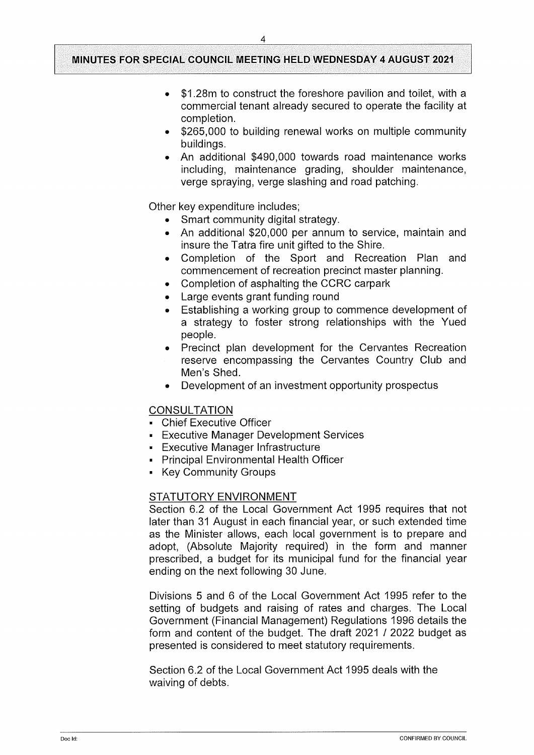- \$1.28m to construct the foreshore pavilion and toilet, with a commercial tenant already secured to operate the facility at completion.
- \$265,000 to building renewal works on multiple community buildings.
- An additional \$490,000 towards road maintenance works including, maintenance grading, shoulder maintenance, verge spraying, verge slashing and road patching.

Other key expenditure includes;

- Smart community digital strategy.
- An additional \$20,000 per annum to service, maintain and insure the Tatra fire unit gifted to the Shire.
- Completion of the Sport and Recreation Plan and commencement of recreation precinct master planning.
- Completion of asphalting the CCRC carpark
- Large events grant funding round
- Establishing a working group to commence development of a strategy to foster strong relationships with the Yued people.
- » Precinct plan development for the Cervantes Recreation reserve encompassing the Cervantes Country Club and Men's Shed.
- Development of an investment opportunity prospectus

#### **CONSULTATION**

- **Chief Executive Officer**
- **Executive Manager Development Services**
- Executive Manager Infrastructure
- Principal Environmental Health Officer
- Key Community Groups

#### STATUTORY ENVIRONMENT

Section 6.2 of the Local Government Act 1995 requires that not later than 31 August in each financial year, or such extended time as the Minister allows, each local government is to prepare and adopt, (Absolute Majority required) in the form and manner prescribed, a budget for its municipal fund for the financial year ending on the next following 30 June.

Divisions 5 and 6 of the Local Government Act 1995 refer to the setting of budgets and raising of rates and charges. The Local Government (Financial Management) Regulations 1996 details the form and content of the budget. The draft 2021 / 2022 budget as presented is considered to meet statutory requirements.

Section 6.2 of the Local Government Act 1995 deals with the waiving of debts.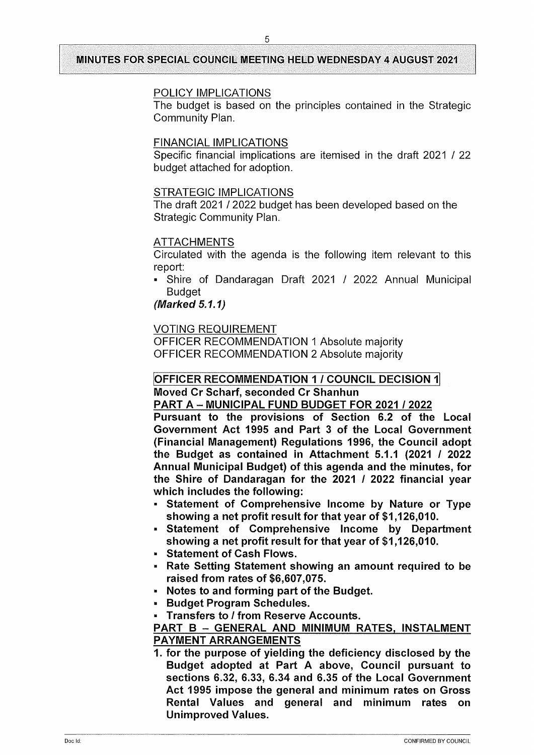## POLICY IMPLICATIONS

The budget is based on the principles contained in the Strategic Community Plan.

## FINANCIAL IMPLICATIONS

Specific financial implications are itemised in the draft 2021 / 22 budget attached for adoption.

## STRATEGIC IMPLICATIONS

The draft 2021 / 2022 budget has been developed based on the Strategic Community Plan.

#### ATTACHMENTS

Circulated with the agenda is the following item relevant to this report:

Shire of Dandaragan Draft 2021 / 2022 Annual Municipal **Budget** 

## *(Marked 5.1.1)*

## VOTING REQUIREMENT

OFFICER RECOMMENDATION <sup>1</sup> Absolute majority OFFICER RECOMMENDATION 2 Absolute majority

## **OFFICER RECOMMENDATION <sup>1</sup> / COUNCIL DECISION <sup>1</sup> Moved Cr Scharf, seconded Cr Shanhun**

**PART <sup>A</sup> - MUNICIPAL FUND BUDGET FOR <sup>2021</sup> / 2022**

**Pursuant to the provisions of Section 6.2 of the Local Government Act 1995 and Part 3 of the Local Government (Financial Management) Regulations 1996, the Council adopt the Budget as contained in Attachment 5.1.1 (2021 / 2022 Annual Municipal Budget) of this agenda and the minutes, for the Shire of Dandaragan for the 2021 / 2022 financial year which includes the following:**

- **■ Statement of Comprehensive Income by Nature or Type showing a net profit result for that year of \$1,126,010.**
- **- Statement of Comprehensive Income by Department showing a net profit result for that year of \$1,126,010.**
- **■ Statement of Cash Flows.**
- **" Rate Setting Statement showing an amount required to be raised from rates of \$6,607,075.**
- **■ Notes to and forming part of the Budget.**
- **■ Budget Program Schedules.**
- **« Transfers to / from Reserve Accounts.**

## **PART <sup>B</sup> - GENERAL AND MINIMUM RATES. INSTALMENT PAYMENT ARRANGEMENTS**

**1. for the purpose of yielding the deficiency disclosed by the Budget adopted at Part A above, Council pursuant to sections 6.32, 6.33, 6.34 and 6.35 of the Local Government Act 1995 impose the general and minimum rates on Gross Rental Values and general and minimum rates on Unimproved Values.**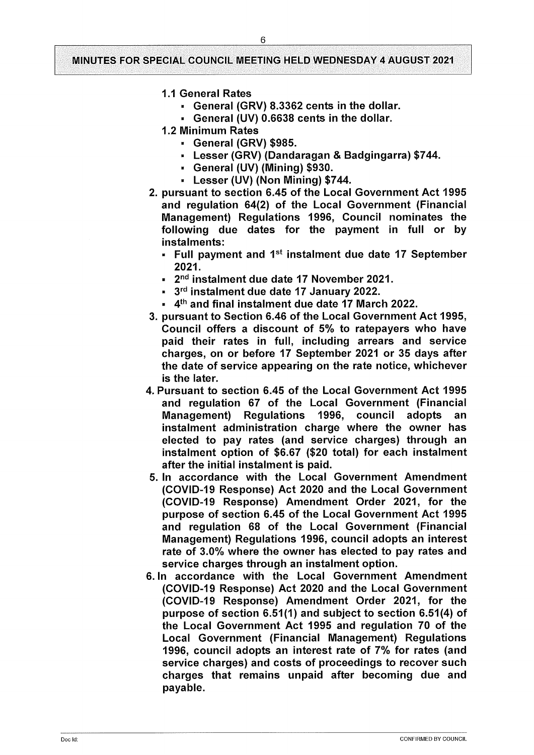- **1.1 General Rates**
	- **■ General (GRV) 8.3362 cents in the dollar.**
	- **■ General (UV) 0.6638 cents in the dollar.**
- **1.2 Minimum Rates**
	- **■ General (GRV) \$985.**
	- **■ Lesser (GRV) (Dandaragan & Badgingarra) \$744.**
	- **■ General (UV) (Mining) \$930.**
	- **■ Lesser (UV) (Non Mining) \$744.**
- **2. pursuant to section 6.45 of the Local Government Act 1995 and regulation 64(2) of the Local Government (Financial Management) Regulations 1996, Council nominates the following due dates for the payment in full or by instalments:**
	- **" Full payment and 1st instalment due date 17 September 2021.**
	- **■ 2nd instalment due date 17 November 2021.**
	- **« 3rd instalment due date 17 January 2022.**
	- **■ 4th and final instalment due date 17 March 2022.**
- **3. pursuant to Section 6.46 of the Local Government Act 1995, Council offers a discount of 5% to ratepayers who have paid their rates in full, including arrears and service charges, on or before 17 September 2021 or 35 days after the date of service appearing on the rate notice, whichever is the later.**
- **4. Pursuant to section 6.45 of the Local Government Act 1995 and regulation 67 of the Local Government (Financial Management) Regulations 1996, council adopts an instalment administration charge where the owner has elected to pay rates (and service charges) through an instalment option of \$6.67 (\$20 total) for each instalment after the initial instalment is paid.**
- **5. In accordance with the Local Government Amendment (COVID-19 Response) Act 2020 and the Local Government (COVID-19 Response) Amendment Order 2021, for the purpose of section 6.45 of the Local Government Act 1995 and regulation 68 of the Local Government (Financial Management) Regulations 1996, council adopts an interest rate of 3.0% where the owner has elected to pay rates and service charges through an instalment option.**
- **6. In accordance with the Local Government Amendment (COVID-19 Response) Act 2020 and the Local Government (COVID-19 Response) Amendment Order 2021, for the purpose of section 6.51(1) and subject to section 6.51(4) of the Local Government Act 1995 and regulation 70 of the Local Government (Financial Management) Regulations 1996, council adopts an interest rate of 7% for rates (and service charges) and costs of proceedings to recover such charges that remains unpaid after becoming due and payable.**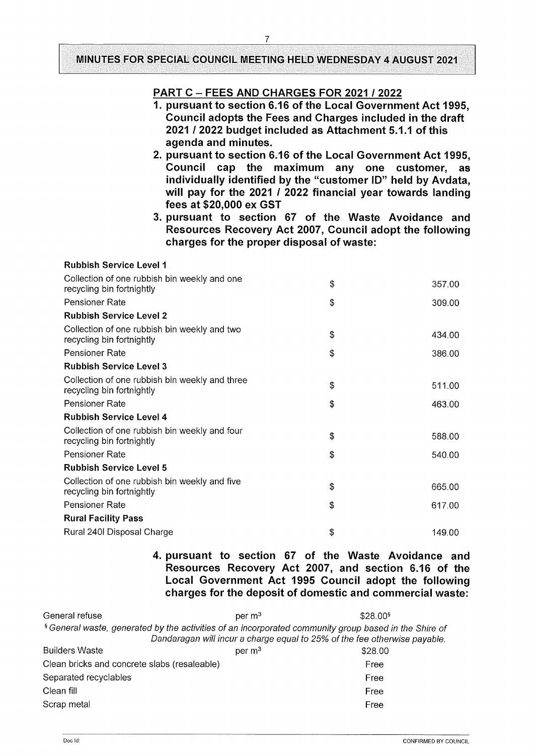## **PART <sup>C</sup> - FEES AND CHARGES FOR <sup>2021</sup> / 2022**

- **1. pursuant to section 6.16 of the Local Government Act 1995, Council adopts the Fees and Charges included in the draft 2021 / 2022 budget included as Attachment 5.1.1 of this agenda and minutes.**
- **2. pursuant to section 6.16 of the Local Government Act 1995, Council cap the maximum any one customer, as individually identified by the "customer ID" held by Avdata, will pay for the 2021 / 2022 financial year towards landing fees at \$20,000 ex GST**
- **3. pursuant to section 67 of the Waste Avoidance and Resources Recovery Act 2007, Council adopt the following charges for the proper disposal of waste:**

| <b>Rubbish Service Level 1</b>                                              |              |
|-----------------------------------------------------------------------------|--------------|
| Collection of one rubbish bin weekly and one<br>recycling bin fortnightly   | \$<br>357.00 |
| Pensioner Rate                                                              | \$<br>309.00 |
| <b>Rubbish Service Level 2</b>                                              |              |
| Collection of one rubbish bin weekly and two<br>recycling bin fortnightly   | \$<br>434.00 |
| <b>Pensioner Rate</b>                                                       | \$<br>386.00 |
| <b>Rubbish Service Level 3</b>                                              |              |
| Collection of one rubbish bin weekly and three<br>recycling bin fortnightly | \$<br>511.00 |
| Pensioner Rate                                                              | \$<br>463.00 |
| <b>Rubbish Service Level 4</b>                                              |              |
| Collection of one rubbish bin weekly and four<br>recycling bin fortnightly  | \$<br>588.00 |
| Pensioner Rate                                                              | \$<br>540.00 |
| <b>Rubbish Service Level 5</b>                                              |              |
| Collection of one rubbish bin weekly and five<br>recycling bin fortnightly  | \$<br>665.00 |
| Pensioner Rate                                                              | \$<br>617.00 |
| <b>Rural Facility Pass</b>                                                  |              |
| Rural 240I Disposal Charge                                                  | \$<br>149.00 |

**4. pursuant to section 67 of the Waste Avoidance and Resources Recovery Act 2007, and section 6.16 of the Local Government Act 1995 Council adopt the following charges for the deposit of domestic and commercial waste:**

| General refuse<br>per $m3$                                                                                       | \$28.00 <sup>9</sup> |
|------------------------------------------------------------------------------------------------------------------|----------------------|
| <sup>§</sup> General waste, generated by the activities of an incorporated community group based in the Shire of |                      |
| Dandaragan will incur a charge equal to 25% of the fee otherwise payable.                                        |                      |
| <b>Builders Waste</b><br>per $m3$                                                                                | \$28.00              |
| Clean bricks and concrete slabs (resaleable)                                                                     | Free                 |
| Separated recyclables                                                                                            | Free                 |
| Clean fill                                                                                                       | Free                 |
| Scrap metal                                                                                                      | Free                 |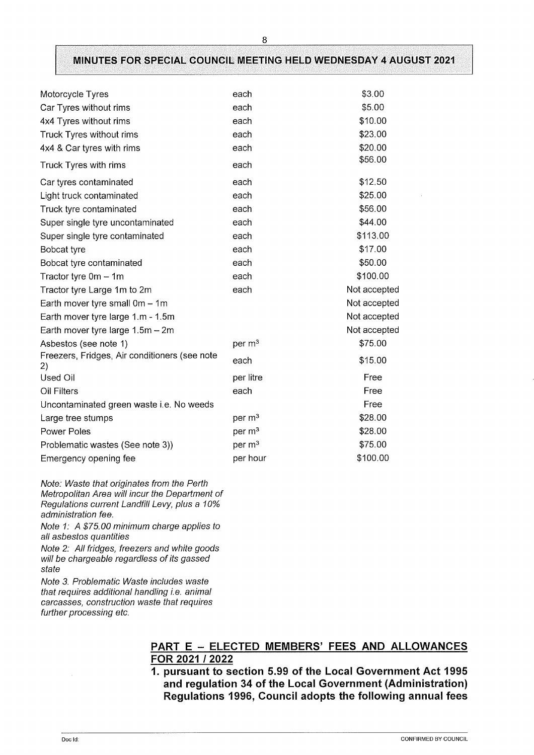| Motorcycle Tyres                                    | each               | \$3.00       |
|-----------------------------------------------------|--------------------|--------------|
| Car Tyres without rims                              | each               | \$5.00       |
| 4x4 Tyres without rims                              | each               | \$10.00      |
| Truck Tyres without rims                            | each               | \$23.00      |
| 4x4 & Car tyres with rims                           | each               | \$20.00      |
| Truck Tyres with rims                               | each               | \$56.00      |
| Car tyres contaminated                              | each               | \$12.50      |
| Light truck contaminated                            | each               | \$25.00      |
| Truck tyre contaminated                             | each               | \$56.00      |
| Super single tyre uncontaminated                    | each               | \$44.00      |
| Super single tyre contaminated                      | each               | \$113.00     |
| Bobcat tyre                                         | each               | \$17.00      |
| Bobcat tyre contaminated                            | each               | \$50.00      |
| Tractor tyre $0m - 1m$                              | each               | \$100.00     |
| Tractor tyre Large 1m to 2m                         | each               | Not accepted |
| Earth mover tyre small $0m - 1m$                    |                    | Not accepted |
| Earth mover tyre large 1.m - 1.5m                   |                    | Not accepted |
| Earth mover tyre large $1.5m - 2m$                  |                    | Not accepted |
| Asbestos (see note 1)                               | per m <sup>3</sup> | \$75.00      |
| Freezers, Fridges, Air conditioners (see note<br>2) | each               | \$15.00      |
| Used Oil                                            | per litre          | Free         |
| Oil Filters                                         | each               | Free         |
| Uncontaminated green waste i.e. No weeds            |                    | Free         |
| Large tree stumps                                   | per m <sup>3</sup> | \$28.00      |
| Power Poles                                         | per m <sup>3</sup> | \$28.00      |
| Problematic wastes (See note 3))                    | per m <sup>3</sup> | \$75.00      |
| Emergency opening fee                               | per hour           | \$100.00     |

*Note: Waste that originates from the Perth Metropolitan Area will incur the Department of Regulations current Landfill Levy, plus a 10% administration fee.*

*Note 1: A \$75.00 minimum charge applies to all asbestos quantities*

*Note 2: All fridges, freezers and white goods will be chargeable regardless ofits gassed state*

*Note 3. Problematic Waste includes waste that requires additional handling i.e. animal carcasses, construction waste that requires further processing etc.*

#### **PART <sup>E</sup> - ELECTED MEMBERS' FEES AND ALLOWANCES FOR 2021 / 2022**

**1. pursuant to section 5.99 of the Local Government Act 1995 and regulation 34 of the Local Government (Administration) Regulations 1996, Council adopts the following annual fees**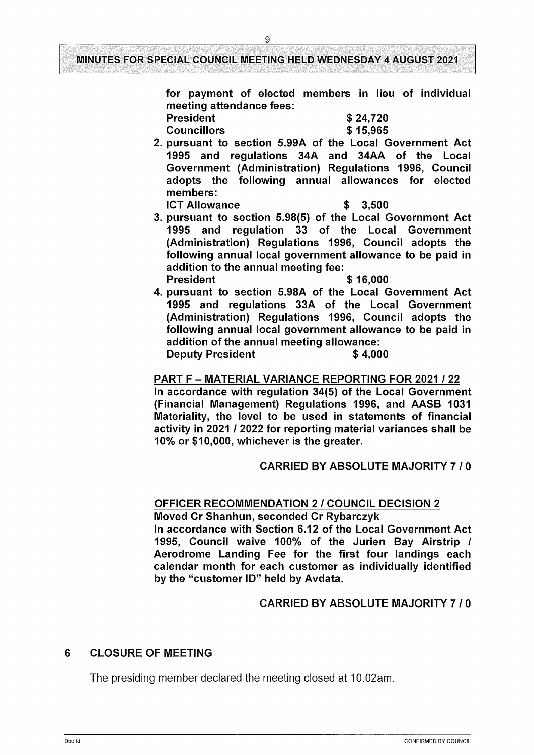**for payment of elected members in lieu of individual meeting attendance fees: \$ 24,720 President**

**Councillors**

- **\$ 15,965**
- **2. pursuant to section 5.99A of the Local Government Act 1995 and regulations 34A and 34AA of the Local Government (Administration) Regulations 1996, Council adopts the following annual allowances for elected members: ICT Allowance \$ 3,500**
- **3. pursuant to section 5.98(5) of the Local Government Act 1995 and regulation 33 of the Local Government (Administration) Regulations 1996, Council adopts the following annual local government allowance to be paid in addition to the annual meeting fee: President \$ 16,000**
- **4. pursuant to section 5.98A of the Local Government Act 1995 and regulations 33A of the Local Government (Administration) Regulations 1996, Council adopts the following annual local government allowance to be paid in addition of the annual meeting allowance: Deputy President \$ 4,000**

## **PART <sup>F</sup> - MATERIAL VARIANCE REPORTING FOR <sup>2021</sup> / 22**

**In accordance with regulation 34(5) of the Local Government (Financial Management) Regulations 1996, and AASB 1031 Materiality, the level to be used in statements of financial activity in 2021 / 2022 for reporting material variances shall be 10% or \$10,000, whichever is the greater.**

## **CARRIED BY ABSOLUTE MAJORITY 7 / 0**

## **OFFICER RECOMMENDATION 2 / COUNCIL DECISION 2**

**Moved Cr Shanhun, seconded Cr Rybarczyk In accordance with Section 6.12 of the Local Government Act 1995, Council waive 100% of the Jurien Bay Airstrip / Aerodrome Landing Fee for the first four landings each calendar month for each customer as individually identified by the "customer ID" held by Avdata.**

## **CARRIED BY ABSOLUTE MAJORITY 7 / 0**

## **6 CLOSURE OF MEETING**

The presiding member declared the meeting closed at 10.02am.